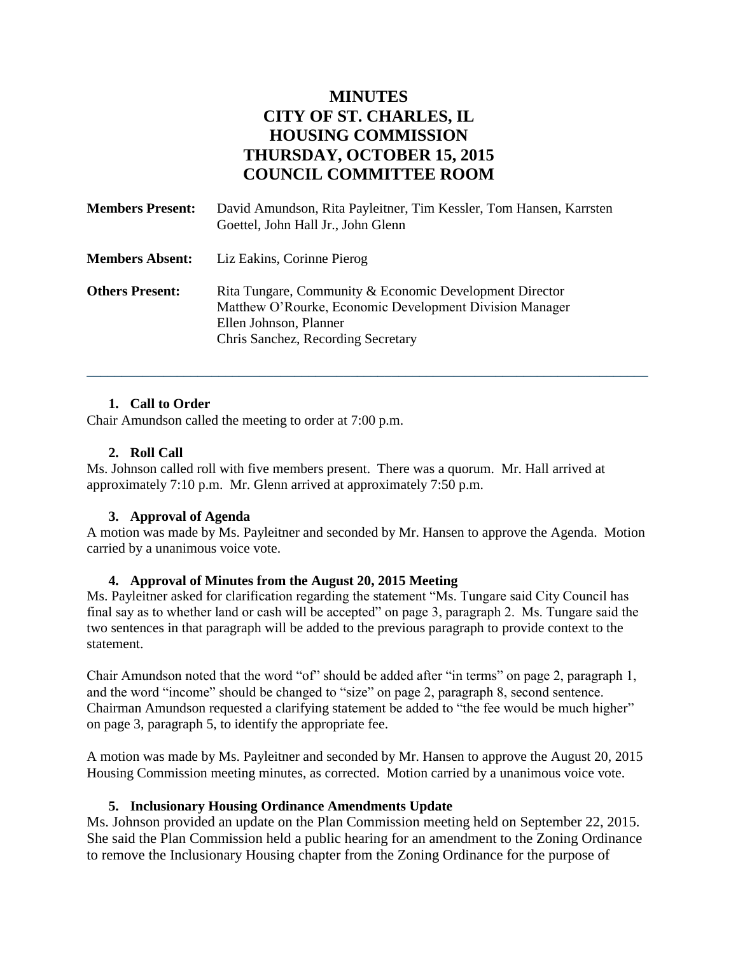# **MINUTES CITY OF ST. CHARLES, IL HOUSING COMMISSION THURSDAY, OCTOBER 15, 2015 COUNCIL COMMITTEE ROOM**

| <b>Members Present:</b> | David Amundson, Rita Payleitner, Tim Kessler, Tom Hansen, Karrsten<br>Goettel, John Hall Jr., John Glenn                                                                           |
|-------------------------|------------------------------------------------------------------------------------------------------------------------------------------------------------------------------------|
| <b>Members Absent:</b>  | Liz Eakins, Corinne Pierog                                                                                                                                                         |
| <b>Others Present:</b>  | Rita Tungare, Community & Economic Development Director<br>Matthew O'Rourke, Economic Development Division Manager<br>Ellen Johnson, Planner<br>Chris Sanchez, Recording Secretary |

\_\_\_\_\_\_\_\_\_\_\_\_\_\_\_\_\_\_\_\_\_\_\_\_\_\_\_\_\_\_\_\_\_\_\_\_\_\_\_\_\_\_\_\_\_\_\_\_\_\_\_\_\_\_\_\_\_\_\_\_\_\_\_\_\_\_\_\_\_\_\_\_\_\_\_\_\_\_\_\_\_

# **1. Call to Order**

Chair Amundson called the meeting to order at 7:00 p.m.

## **2. Roll Call**

Ms. Johnson called roll with five members present. There was a quorum. Mr. Hall arrived at approximately 7:10 p.m. Mr. Glenn arrived at approximately 7:50 p.m.

#### **3. Approval of Agenda**

A motion was made by Ms. Payleitner and seconded by Mr. Hansen to approve the Agenda. Motion carried by a unanimous voice vote.

#### **4. Approval of Minutes from the August 20, 2015 Meeting**

Ms. Payleitner asked for clarification regarding the statement "Ms. Tungare said City Council has final say as to whether land or cash will be accepted" on page 3, paragraph 2. Ms. Tungare said the two sentences in that paragraph will be added to the previous paragraph to provide context to the statement.

Chair Amundson noted that the word "of" should be added after "in terms" on page 2, paragraph 1, and the word "income" should be changed to "size" on page 2, paragraph 8, second sentence. Chairman Amundson requested a clarifying statement be added to "the fee would be much higher" on page 3, paragraph 5, to identify the appropriate fee.

A motion was made by Ms. Payleitner and seconded by Mr. Hansen to approve the August 20, 2015 Housing Commission meeting minutes, as corrected. Motion carried by a unanimous voice vote.

## **5. Inclusionary Housing Ordinance Amendments Update**

Ms. Johnson provided an update on the Plan Commission meeting held on September 22, 2015. She said the Plan Commission held a public hearing for an amendment to the Zoning Ordinance to remove the Inclusionary Housing chapter from the Zoning Ordinance for the purpose of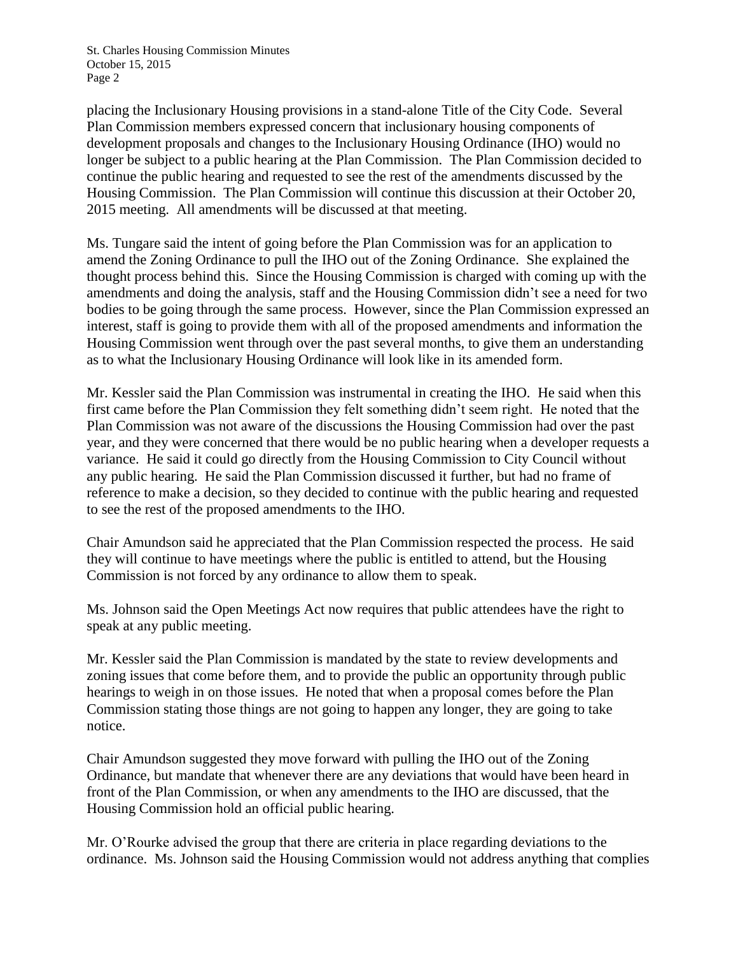placing the Inclusionary Housing provisions in a stand-alone Title of the City Code. Several Plan Commission members expressed concern that inclusionary housing components of development proposals and changes to the Inclusionary Housing Ordinance (IHO) would no longer be subject to a public hearing at the Plan Commission. The Plan Commission decided to continue the public hearing and requested to see the rest of the amendments discussed by the Housing Commission. The Plan Commission will continue this discussion at their October 20, 2015 meeting. All amendments will be discussed at that meeting.

Ms. Tungare said the intent of going before the Plan Commission was for an application to amend the Zoning Ordinance to pull the IHO out of the Zoning Ordinance. She explained the thought process behind this. Since the Housing Commission is charged with coming up with the amendments and doing the analysis, staff and the Housing Commission didn't see a need for two bodies to be going through the same process. However, since the Plan Commission expressed an interest, staff is going to provide them with all of the proposed amendments and information the Housing Commission went through over the past several months, to give them an understanding as to what the Inclusionary Housing Ordinance will look like in its amended form.

Mr. Kessler said the Plan Commission was instrumental in creating the IHO. He said when this first came before the Plan Commission they felt something didn't seem right. He noted that the Plan Commission was not aware of the discussions the Housing Commission had over the past year, and they were concerned that there would be no public hearing when a developer requests a variance. He said it could go directly from the Housing Commission to City Council without any public hearing. He said the Plan Commission discussed it further, but had no frame of reference to make a decision, so they decided to continue with the public hearing and requested to see the rest of the proposed amendments to the IHO.

Chair Amundson said he appreciated that the Plan Commission respected the process. He said they will continue to have meetings where the public is entitled to attend, but the Housing Commission is not forced by any ordinance to allow them to speak.

Ms. Johnson said the Open Meetings Act now requires that public attendees have the right to speak at any public meeting.

Mr. Kessler said the Plan Commission is mandated by the state to review developments and zoning issues that come before them, and to provide the public an opportunity through public hearings to weigh in on those issues. He noted that when a proposal comes before the Plan Commission stating those things are not going to happen any longer, they are going to take notice.

Chair Amundson suggested they move forward with pulling the IHO out of the Zoning Ordinance, but mandate that whenever there are any deviations that would have been heard in front of the Plan Commission, or when any amendments to the IHO are discussed, that the Housing Commission hold an official public hearing.

Mr. O'Rourke advised the group that there are criteria in place regarding deviations to the ordinance. Ms. Johnson said the Housing Commission would not address anything that complies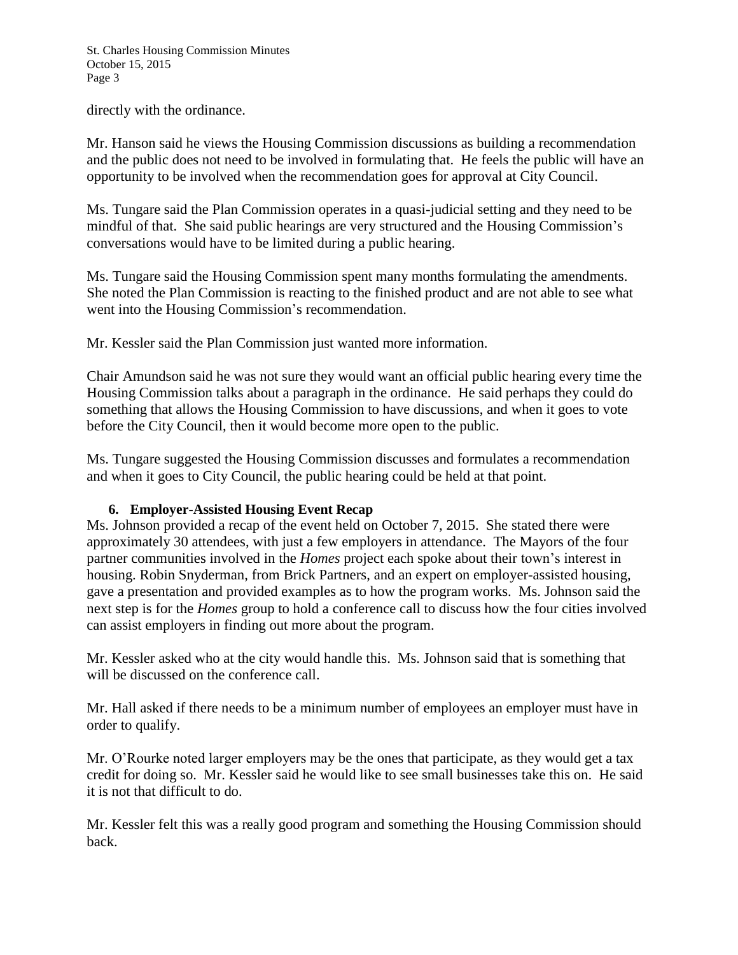directly with the ordinance.

Mr. Hanson said he views the Housing Commission discussions as building a recommendation and the public does not need to be involved in formulating that. He feels the public will have an opportunity to be involved when the recommendation goes for approval at City Council.

Ms. Tungare said the Plan Commission operates in a quasi-judicial setting and they need to be mindful of that. She said public hearings are very structured and the Housing Commission's conversations would have to be limited during a public hearing.

Ms. Tungare said the Housing Commission spent many months formulating the amendments. She noted the Plan Commission is reacting to the finished product and are not able to see what went into the Housing Commission's recommendation.

Mr. Kessler said the Plan Commission just wanted more information.

Chair Amundson said he was not sure they would want an official public hearing every time the Housing Commission talks about a paragraph in the ordinance. He said perhaps they could do something that allows the Housing Commission to have discussions, and when it goes to vote before the City Council, then it would become more open to the public.

Ms. Tungare suggested the Housing Commission discusses and formulates a recommendation and when it goes to City Council, the public hearing could be held at that point.

## **6. Employer-Assisted Housing Event Recap**

Ms. Johnson provided a recap of the event held on October 7, 2015. She stated there were approximately 30 attendees, with just a few employers in attendance. The Mayors of the four partner communities involved in the *Homes* project each spoke about their town's interest in housing. Robin Snyderman, from Brick Partners, and an expert on employer-assisted housing, gave a presentation and provided examples as to how the program works. Ms. Johnson said the next step is for the *Homes* group to hold a conference call to discuss how the four cities involved can assist employers in finding out more about the program.

Mr. Kessler asked who at the city would handle this. Ms. Johnson said that is something that will be discussed on the conference call.

Mr. Hall asked if there needs to be a minimum number of employees an employer must have in order to qualify.

Mr. O'Rourke noted larger employers may be the ones that participate, as they would get a tax credit for doing so. Mr. Kessler said he would like to see small businesses take this on. He said it is not that difficult to do.

Mr. Kessler felt this was a really good program and something the Housing Commission should back.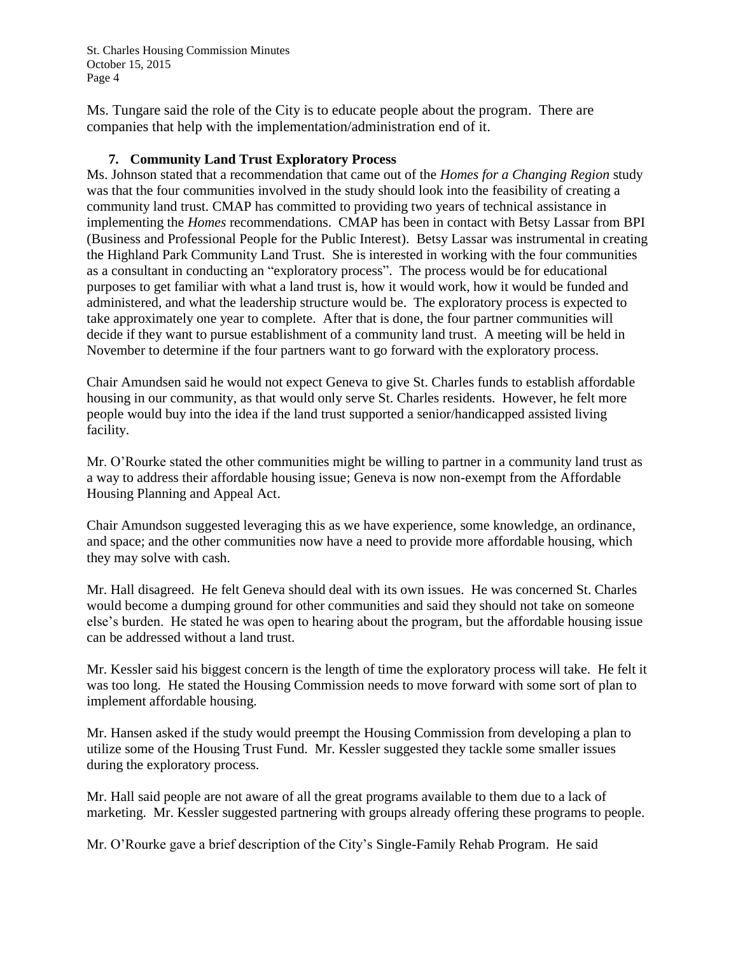Ms. Tungare said the role of the City is to educate people about the program. There are companies that help with the implementation/administration end of it.

## **7. Community Land Trust Exploratory Process**

Ms. Johnson stated that a recommendation that came out of the *Homes for a Changing Region* study was that the four communities involved in the study should look into the feasibility of creating a community land trust. CMAP has committed to providing two years of technical assistance in implementing the *Homes* recommendations. CMAP has been in contact with Betsy Lassar from BPI (Business and Professional People for the Public Interest). Betsy Lassar was instrumental in creating the Highland Park Community Land Trust. She is interested in working with the four communities as a consultant in conducting an "exploratory process". The process would be for educational purposes to get familiar with what a land trust is, how it would work, how it would be funded and administered, and what the leadership structure would be. The exploratory process is expected to take approximately one year to complete. After that is done, the four partner communities will decide if they want to pursue establishment of a community land trust. A meeting will be held in November to determine if the four partners want to go forward with the exploratory process.

Chair Amundsen said he would not expect Geneva to give St. Charles funds to establish affordable housing in our community, as that would only serve St. Charles residents. However, he felt more people would buy into the idea if the land trust supported a senior/handicapped assisted living facility.

Mr. O'Rourke stated the other communities might be willing to partner in a community land trust as a way to address their affordable housing issue; Geneva is now non-exempt from the Affordable Housing Planning and Appeal Act.

Chair Amundson suggested leveraging this as we have experience, some knowledge, an ordinance, and space; and the other communities now have a need to provide more affordable housing, which they may solve with cash.

Mr. Hall disagreed. He felt Geneva should deal with its own issues. He was concerned St. Charles would become a dumping ground for other communities and said they should not take on someone else's burden. He stated he was open to hearing about the program, but the affordable housing issue can be addressed without a land trust.

Mr. Kessler said his biggest concern is the length of time the exploratory process will take. He felt it was too long. He stated the Housing Commission needs to move forward with some sort of plan to implement affordable housing.

Mr. Hansen asked if the study would preempt the Housing Commission from developing a plan to utilize some of the Housing Trust Fund. Mr. Kessler suggested they tackle some smaller issues during the exploratory process.

Mr. Hall said people are not aware of all the great programs available to them due to a lack of marketing. Mr. Kessler suggested partnering with groups already offering these programs to people.

Mr. O'Rourke gave a brief description of the City's Single-Family Rehab Program. He said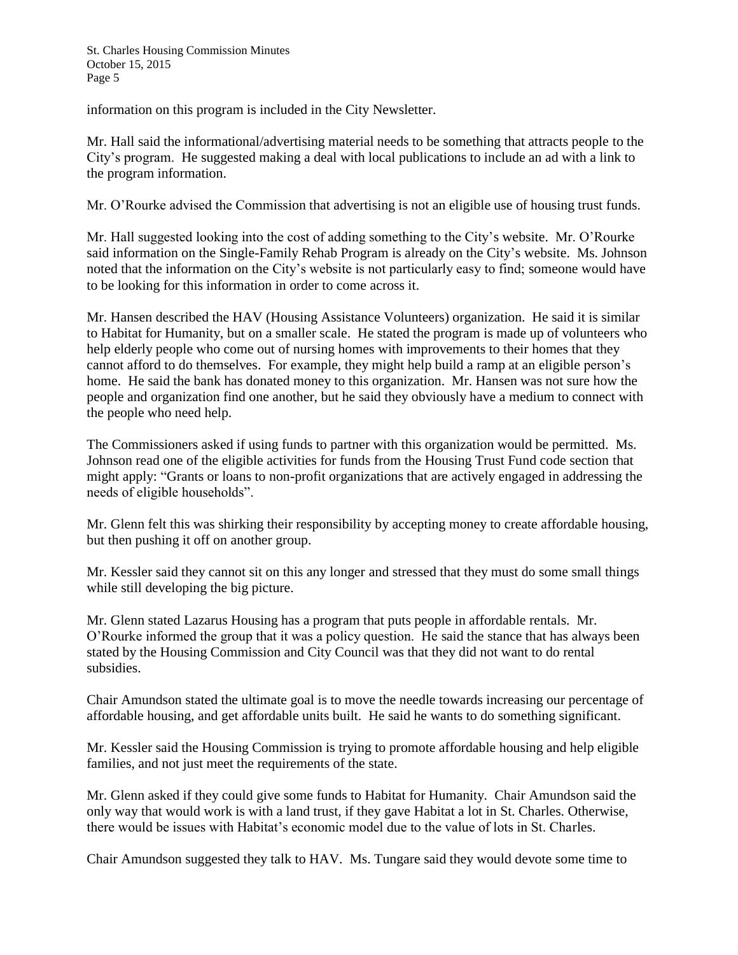information on this program is included in the City Newsletter.

Mr. Hall said the informational/advertising material needs to be something that attracts people to the City's program. He suggested making a deal with local publications to include an ad with a link to the program information.

Mr. O'Rourke advised the Commission that advertising is not an eligible use of housing trust funds.

Mr. Hall suggested looking into the cost of adding something to the City's website. Mr. O'Rourke said information on the Single-Family Rehab Program is already on the City's website. Ms. Johnson noted that the information on the City's website is not particularly easy to find; someone would have to be looking for this information in order to come across it.

Mr. Hansen described the HAV (Housing Assistance Volunteers) organization. He said it is similar to Habitat for Humanity, but on a smaller scale. He stated the program is made up of volunteers who help elderly people who come out of nursing homes with improvements to their homes that they cannot afford to do themselves. For example, they might help build a ramp at an eligible person's home. He said the bank has donated money to this organization. Mr. Hansen was not sure how the people and organization find one another, but he said they obviously have a medium to connect with the people who need help.

The Commissioners asked if using funds to partner with this organization would be permitted. Ms. Johnson read one of the eligible activities for funds from the Housing Trust Fund code section that might apply: "Grants or loans to non-profit organizations that are actively engaged in addressing the needs of eligible households".

Mr. Glenn felt this was shirking their responsibility by accepting money to create affordable housing, but then pushing it off on another group.

Mr. Kessler said they cannot sit on this any longer and stressed that they must do some small things while still developing the big picture.

Mr. Glenn stated Lazarus Housing has a program that puts people in affordable rentals. Mr. O'Rourke informed the group that it was a policy question. He said the stance that has always been stated by the Housing Commission and City Council was that they did not want to do rental subsidies.

Chair Amundson stated the ultimate goal is to move the needle towards increasing our percentage of affordable housing, and get affordable units built. He said he wants to do something significant.

Mr. Kessler said the Housing Commission is trying to promote affordable housing and help eligible families, and not just meet the requirements of the state.

Mr. Glenn asked if they could give some funds to Habitat for Humanity. Chair Amundson said the only way that would work is with a land trust, if they gave Habitat a lot in St. Charles. Otherwise, there would be issues with Habitat's economic model due to the value of lots in St. Charles.

Chair Amundson suggested they talk to HAV. Ms. Tungare said they would devote some time to